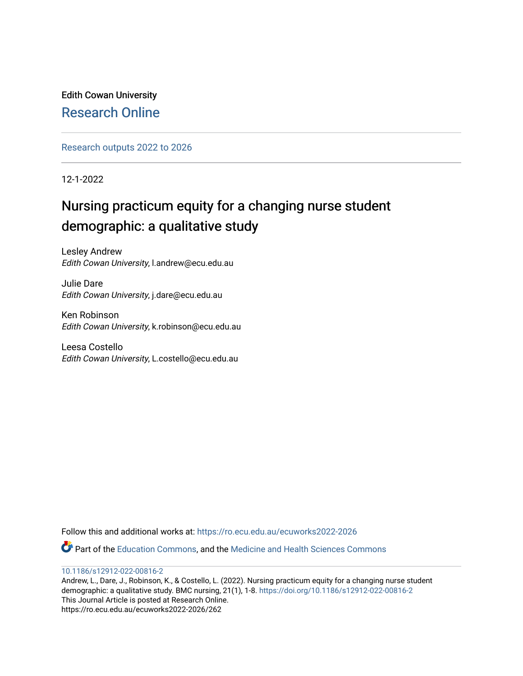Edith Cowan University [Research Online](https://ro.ecu.edu.au/) 

[Research outputs 2022 to 2026](https://ro.ecu.edu.au/ecuworks2022-2026) 

12-1-2022

## Nursing practicum equity for a changing nurse student demographic: a qualitative study

Lesley Andrew Edith Cowan University, l.andrew@ecu.edu.au

Julie Dare Edith Cowan University, j.dare@ecu.edu.au

Ken Robinson Edith Cowan University, k.robinson@ecu.edu.au

Leesa Costello Edith Cowan University, L.costello@ecu.edu.au

Follow this and additional works at: [https://ro.ecu.edu.au/ecuworks2022-2026](https://ro.ecu.edu.au/ecuworks2022-2026?utm_source=ro.ecu.edu.au%2Fecuworks2022-2026%2F262&utm_medium=PDF&utm_campaign=PDFCoverPages)

Part of the [Education Commons](http://network.bepress.com/hgg/discipline/784?utm_source=ro.ecu.edu.au%2Fecuworks2022-2026%2F262&utm_medium=PDF&utm_campaign=PDFCoverPages), and the [Medicine and Health Sciences Commons](http://network.bepress.com/hgg/discipline/648?utm_source=ro.ecu.edu.au%2Fecuworks2022-2026%2F262&utm_medium=PDF&utm_campaign=PDFCoverPages) 

[10.1186/s12912-022-00816-2](http://dx.doi.org/10.1186/s12912-022-00816-2)

Andrew, L., Dare, J., Robinson, K., & Costello, L. (2022). Nursing practicum equity for a changing nurse student demographic: a qualitative study. BMC nursing, 21(1), 1-8. <https://doi.org/10.1186/s12912-022-00816-2> This Journal Article is posted at Research Online. https://ro.ecu.edu.au/ecuworks2022-2026/262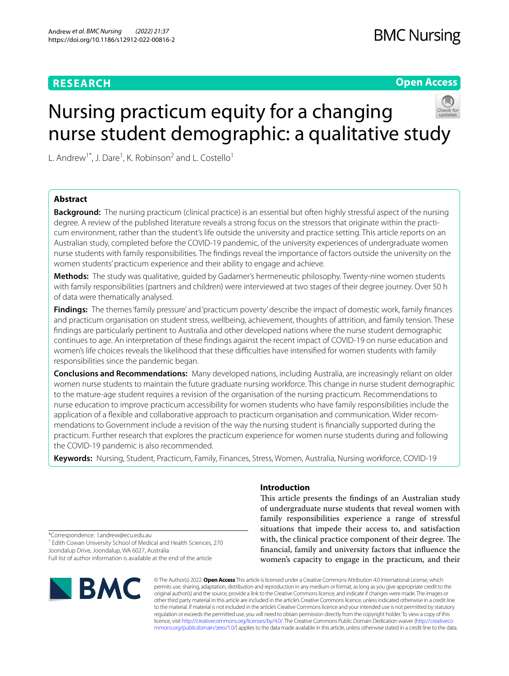## **RESEARCH**

## **BMC Nursing**

**Open Access**

# Nursing practicum equity for a changing nurse student demographic: a qualitative study

L. Andrew<sup>1\*</sup>, J. Dare<sup>1</sup>, K. Robinson<sup>2</sup> and L. Costello<sup>1</sup>

## **Abstract**

**Background:** The nursing practicum (clinical practice) is an essential but often highly stressful aspect of the nursing degree. A review of the published literature reveals a strong focus on the stressors that originate within the practicum environment, rather than the student's life outside the university and practice setting. This article reports on an Australian study, completed before the COVID-19 pandemic, of the university experiences of undergraduate women nurse students with family responsibilities. The fndings reveal the importance of factors outside the university on the women students' practicum experience and their ability to engage and achieve.

**Methods:** The study was qualitative, guided by Gadamer's hermeneutic philosophy. Twenty-nine women students with family responsibilities (partners and children) were interviewed at two stages of their degree journey. Over 50 h of data were thematically analysed.

**Findings:** The themes 'family pressure' and 'practicum poverty' describe the impact of domestic work, family fnances and practicum organisation on student stress, wellbeing, achievement, thoughts of attrition, and family tension. These fndings are particularly pertinent to Australia and other developed nations where the nurse student demographic continues to age. An interpretation of these fndings against the recent impact of COVID-19 on nurse education and women's life choices reveals the likelihood that these difficulties have intensified for women students with family responsibilities since the pandemic began.

**Conclusions and Recommendations:** Many developed nations, including Australia, are increasingly reliant on older women nurse students to maintain the future graduate nursing workforce. This change in nurse student demographic to the mature-age student requires a revision of the organisation of the nursing practicum. Recommendations to nurse education to improve practicum accessibility for women students who have family responsibilities include the application of a fexible and collaborative approach to practicum organisation and communication. Wider recommendations to Government include a revision of the way the nursing student is fnancially supported during the practicum. Further research that explores the practicum experience for women nurse students during and following the COVID-19 pandemic is also recommended.

**Keywords:** Nursing, Student, Practicum, Family, Finances, Stress, Women, Australia, Nursing workforce, COVID-19

### **Introduction**

This article presents the findings of an Australian study of undergraduate nurse students that reveal women with family responsibilities experience a range of stressful situations that impede their access to, and satisfaction with, the clinical practice component of their degree. The fnancial, family and university factors that infuence the women's capacity to engage in the practicum, and their

\*Correspondence: l.andrew@ecu.edu.au

<sup>1</sup> Edith Cowan University School of Medical and Health Sciences, 270 Joondalup Drive, Joondalup, WA 6027, Australia

Full list of author information is available at the end of the article



© The Author(s) 2022. **Open Access** This article is licensed under a Creative Commons Attribution 4.0 International License, which permits use, sharing, adaptation, distribution and reproduction in any medium or format, as long as you give appropriate credit to the original author(s) and the source, provide a link to the Creative Commons licence, and indicate if changes were made. The images or other third party material in this article are included in the article's Creative Commons licence, unless indicated otherwise in a credit line to the material. If material is not included in the article's Creative Commons licence and your intended use is not permitted by statutory regulation or exceeds the permitted use, you will need to obtain permission directly from the copyright holder. To view a copy of this licence, visit [http://creativecommons.org/licenses/by/4.0/.](http://creativecommons.org/licenses/by/4.0/) The Creative Commons Public Domain Dedication waiver ([http://creativeco](http://creativecommons.org/publicdomain/zero/1.0/) [mmons.org/publicdomain/zero/1.0/](http://creativecommons.org/publicdomain/zero/1.0/)) applies to the data made available in this article, unless otherwise stated in a credit line to the data.

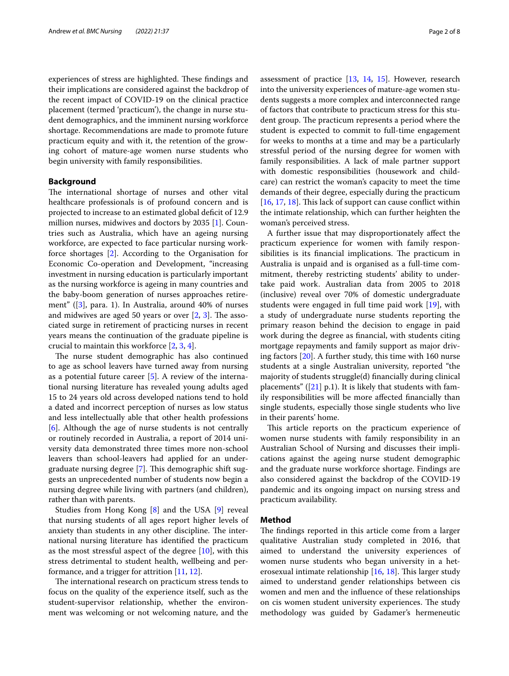experiences of stress are highlighted. These findings and their implications are considered against the backdrop of the recent impact of COVID-19 on the clinical practice placement (termed 'practicum'), the change in nurse student demographics, and the imminent nursing workforce shortage. Recommendations are made to promote future practicum equity and with it, the retention of the growing cohort of mature-age women nurse students who begin university with family responsibilities.

#### **Background**

The international shortage of nurses and other vital healthcare professionals is of profound concern and is projected to increase to an estimated global deficit of 12.9 million nurses, midwives and doctors by 2035 [\[1](#page-8-0)]. Countries such as Australia, which have an ageing nursing workforce, are expected to face particular nursing workforce shortages [\[2](#page-8-1)]. According to the Organisation for Economic Co-operation and Development, "increasing investment in nursing education is particularly important as the nursing workforce is ageing in many countries and the baby-boom generation of nurses approaches retirement" ([[3\]](#page-8-2), para. 1). In Australia, around 40% of nurses and midwives are aged 50 years or over  $[2, 3]$  $[2, 3]$  $[2, 3]$  $[2, 3]$ . The associated surge in retirement of practicing nurses in recent years means the continuation of the graduate pipeline is crucial to maintain this workforce [\[2](#page-8-1), [3,](#page-8-2) [4](#page-8-3)].

The nurse student demographic has also continued to age as school leavers have turned away from nursing as a potential future career [[5\]](#page-8-4). A review of the international nursing literature has revealed young adults aged 15 to 24 years old across developed nations tend to hold a dated and incorrect perception of nurses as low status and less intellectually able that other health professions [[6\]](#page-8-5). Although the age of nurse students is not centrally or routinely recorded in Australia, a report of 2014 university data demonstrated three times more non-school leavers than school-leavers had applied for an under-graduate nursing degree [\[7](#page-8-6)]. This demographic shift suggests an unprecedented number of students now begin a nursing degree while living with partners (and children), rather than with parents.

Studies from Hong Kong [[8\]](#page-8-7) and the USA [[9\]](#page-8-8) reveal that nursing students of all ages report higher levels of anxiety than students in any other discipline. The international nursing literature has identifed the practicum as the most stressful aspect of the degree [[10](#page-8-9)], with this stress detrimental to student health, wellbeing and performance, and a trigger for attrition  $[11, 12]$  $[11, 12]$  $[11, 12]$  $[11, 12]$ .

The international research on practicum stress tends to focus on the quality of the experience itself, such as the student-supervisor relationship, whether the environment was welcoming or not welcoming nature, and the assessment of practice [[13,](#page-8-12) [14](#page-8-13), [15](#page-8-14)]. However, research into the university experiences of mature-age women students suggests a more complex and interconnected range of factors that contribute to practicum stress for this student group. The practicum represents a period where the student is expected to commit to full-time engagement for weeks to months at a time and may be a particularly stressful period of the nursing degree for women with family responsibilities. A lack of male partner support with domestic responsibilities (housework and childcare) can restrict the woman's capacity to meet the time demands of their degree, especially during the practicum  $[16, 17, 18]$  $[16, 17, 18]$  $[16, 17, 18]$  $[16, 17, 18]$  $[16, 17, 18]$ . This lack of support can cause conflict within the intimate relationship, which can further heighten the woman's perceived stress.

A further issue that may disproportionately afect the practicum experience for women with family responsibilities is its financial implications. The practicum in Australia is unpaid and is organised as a full-time commitment, thereby restricting students' ability to undertake paid work. Australian data from 2005 to 2018 (inclusive) reveal over 70% of domestic undergraduate students were engaged in full time paid work [[19](#page-8-18)], with a study of undergraduate nurse students reporting the primary reason behind the decision to engage in paid work during the degree as fnancial, with students citing mortgage repayments and family support as major driving factors [[20\]](#page-8-19). A further study, this time with 160 nurse students at a single Australian university, reported "the majority of students struggle(d) fnancially during clinical placements" ( $[21]$  $[21]$  p.1). It is likely that students with family responsibilities will be more afected fnancially than single students, especially those single students who live in their parents' home.

This article reports on the practicum experience of women nurse students with family responsibility in an Australian School of Nursing and discusses their implications against the ageing nurse student demographic and the graduate nurse workforce shortage. Findings are also considered against the backdrop of the COVID-19 pandemic and its ongoing impact on nursing stress and practicum availability.

#### **Method**

The findings reported in this article come from a larger qualitative Australian study completed in 2016, that aimed to understand the university experiences of women nurse students who began university in a heterosexual intimate relationship  $[16, 18]$  $[16, 18]$  $[16, 18]$ . This larger study aimed to understand gender relationships between cis women and men and the infuence of these relationships on cis women student university experiences. The study methodology was guided by Gadamer's hermeneutic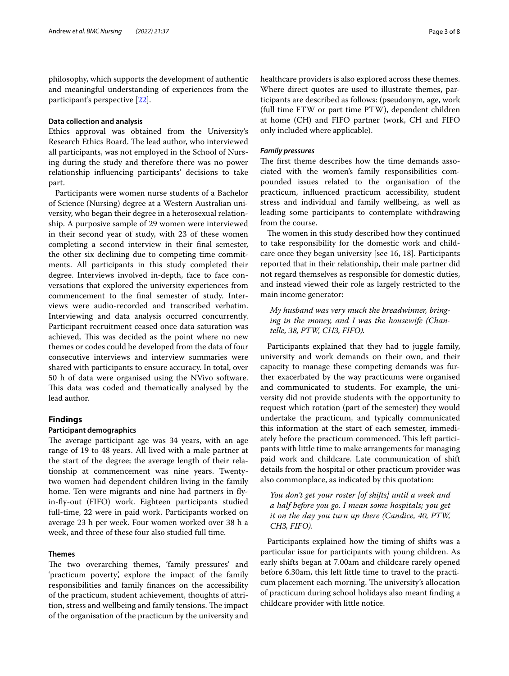philosophy, which supports the development of authentic and meaningful understanding of experiences from the participant's perspective [[22](#page-8-21)].

#### **Data collection and analysis**

Ethics approval was obtained from the University's Research Ethics Board. The lead author, who interviewed all participants, was not employed in the School of Nursing during the study and therefore there was no power relationship infuencing participants' decisions to take part.

Participants were women nurse students of a Bachelor of Science (Nursing) degree at a Western Australian university, who began their degree in a heterosexual relationship. A purposive sample of 29 women were interviewed in their second year of study, with 23 of these women completing a second interview in their fnal semester, the other six declining due to competing time commitments. All participants in this study completed their degree. Interviews involved in-depth, face to face conversations that explored the university experiences from commencement to the fnal semester of study. Interviews were audio-recorded and transcribed verbatim. Interviewing and data analysis occurred concurrently. Participant recruitment ceased once data saturation was achieved, This was decided as the point where no new themes or codes could be developed from the data of four consecutive interviews and interview summaries were shared with participants to ensure accuracy. In total, over 50 h of data were organised using the NVivo software. This data was coded and thematically analysed by the lead author.

#### **Findings**

#### **Participant demographics**

The average participant age was 34 years, with an age range of 19 to 48 years. All lived with a male partner at the start of the degree; the average length of their relationship at commencement was nine years. Twentytwo women had dependent children living in the family home. Ten were migrants and nine had partners in fyin-fy-out (FIFO) work. Eighteen participants studied full-time, 22 were in paid work. Participants worked on average 23 h per week. Four women worked over 38 h a week, and three of these four also studied full time.

## **Themes**

The two overarching themes, 'family pressures' and 'practicum poverty', explore the impact of the family responsibilities and family fnances on the accessibility of the practicum, student achievement, thoughts of attrition, stress and wellbeing and family tensions. The impact of the organisation of the practicum by the university and healthcare providers is also explored across these themes. Where direct quotes are used to illustrate themes, participants are described as follows: (pseudonym, age, work (full time FTW or part time PTW), dependent children at home (CH) and FIFO partner (work, CH and FIFO only included where applicable).

#### *Family pressures*

The first theme describes how the time demands associated with the women's family responsibilities compounded issues related to the organisation of the practicum, infuenced practicum accessibility, student stress and individual and family wellbeing, as well as leading some participants to contemplate withdrawing from the course.

The women in this study described how they continued to take responsibility for the domestic work and childcare once they began university [see 16, 18]. Participants reported that in their relationship, their male partner did not regard themselves as responsible for domestic duties, and instead viewed their role as largely restricted to the main income generator:

*My husband was very much the breadwinner, bringing in the money, and I was the housewife (Chantelle, 38, PTW, CH3, FIFO).*

Participants explained that they had to juggle family, university and work demands on their own, and their capacity to manage these competing demands was further exacerbated by the way practicums were organised and communicated to students. For example, the university did not provide students with the opportunity to request which rotation (part of the semester) they would undertake the practicum, and typically communicated this information at the start of each semester, immediately before the practicum commenced. This left participants with little time to make arrangements for managing paid work and childcare. Late communication of shift details from the hospital or other practicum provider was also commonplace, as indicated by this quotation:

*You don't get your roster [of shifts] until a week and a half before you go. I mean some hospitals; you get it on the day you turn up there (Candice, 40, PTW, CH3, FIFO).*

Participants explained how the timing of shifts was a particular issue for participants with young children. As early shifts began at 7.00am and childcare rarely opened before 6.30am, this left little time to travel to the practicum placement each morning. The university's allocation of practicum during school holidays also meant fnding a childcare provider with little notice.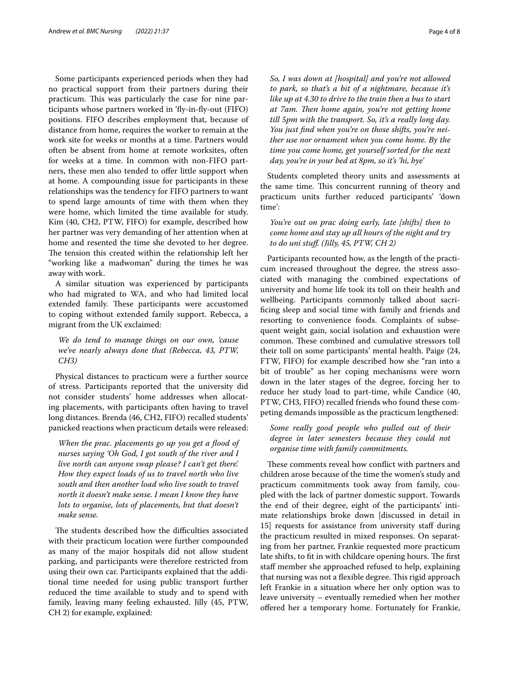Some participants experienced periods when they had no practical support from their partners during their practicum. This was particularly the case for nine participants whose partners worked in 'fy-in-fy-out (FIFO) positions. FIFO describes employment that, because of distance from home, requires the worker to remain at the work site for weeks or months at a time. Partners would often be absent from home at remote worksites, often for weeks at a time. In common with non-FIFO partners, these men also tended to offer little support when at home. A compounding issue for participants in these relationships was the tendency for FIFO partners to want to spend large amounts of time with them when they were home, which limited the time available for study. Kim (40, CH2, PTW, FIFO) for example, described how her partner was very demanding of her attention when at home and resented the time she devoted to her degree. The tension this created within the relationship left her "working like a madwoman" during the times he was away with work.

A similar situation was experienced by participants who had migrated to WA, and who had limited local extended family. These participants were accustomed to coping without extended family support. Rebecca, a migrant from the UK exclaimed:

## *We do tend to manage things on our own, 'cause we've nearly always done that (Rebecca, 43, PTW, CH3)*

Physical distances to practicum were a further source of stress. Participants reported that the university did not consider students' home addresses when allocating placements, with participants often having to travel long distances. Brenda (46, CH2, FIFO) recalled students' panicked reactions when practicum details were released:

*When the prac. placements go up you get a food of nurses saying 'Oh God, I got south of the river and I live north can anyone swap please? I can't get there'. How they expect loads of us to travel north who live south and then another load who live south to travel north it doesn't make sense. I mean I know they have lots to organise, lots of placements, but that doesn't make sense.*

The students described how the difficulties associated with their practicum location were further compounded as many of the major hospitals did not allow student parking, and participants were therefore restricted from using their own car. Participants explained that the additional time needed for using public transport further reduced the time available to study and to spend with family, leaving many feeling exhausted. Jilly (45, PTW, CH 2) for example, explained:

*So, I was down at [hospital] and you're not allowed to park, so that's a bit of a nightmare, because it's like up at 4.30 to drive to the train then a bus to start*  at 7am. Then home again, you're not getting home *till 5pm with the transport. So, it's a really long day. You just fnd when you're on those shifts, you're neither use nor ornament when you come home. By the time you come home, get yourself sorted for the next day, you're in your bed at 8pm, so it's 'hi, bye'*

Students completed theory units and assessments at the same time. This concurrent running of theory and practicum units further reduced participants' 'down time':

*You're out on prac doing early, late [shifts] then to come home and stay up all hours of the night and try to do uni stuf. (Jilly, 45, PTW, CH 2)*

Participants recounted how, as the length of the practicum increased throughout the degree, the stress associated with managing the combined expectations of university and home life took its toll on their health and wellbeing. Participants commonly talked about sacrifcing sleep and social time with family and friends and resorting to convenience foods. Complaints of subsequent weight gain, social isolation and exhaustion were common. These combined and cumulative stressors toll their toll on some participants' mental health. Paige (24, FTW, FIFO) for example described how she "ran into a bit of trouble" as her coping mechanisms were worn down in the later stages of the degree, forcing her to reduce her study load to part-time, while Candice (40, PTW, CH3, FIFO) recalled friends who found these competing demands impossible as the practicum lengthened:

## *Some really good people who pulled out of their degree in later semesters because they could not organise time with family commitments.*

These comments reveal how conflict with partners and children arose because of the time the women's study and practicum commitments took away from family, coupled with the lack of partner domestic support. Towards the end of their degree, eight of the participants' intimate relationships broke down [discussed in detail in 15] requests for assistance from university staf during the practicum resulted in mixed responses. On separating from her partner, Frankie requested more practicum late shifts, to fit in with childcare opening hours. The first staff member she approached refused to help, explaining that nursing was not a flexible degree. This rigid approach left Frankie in a situation where her only option was to leave university – eventually remedied when her mother ofered her a temporary home. Fortunately for Frankie,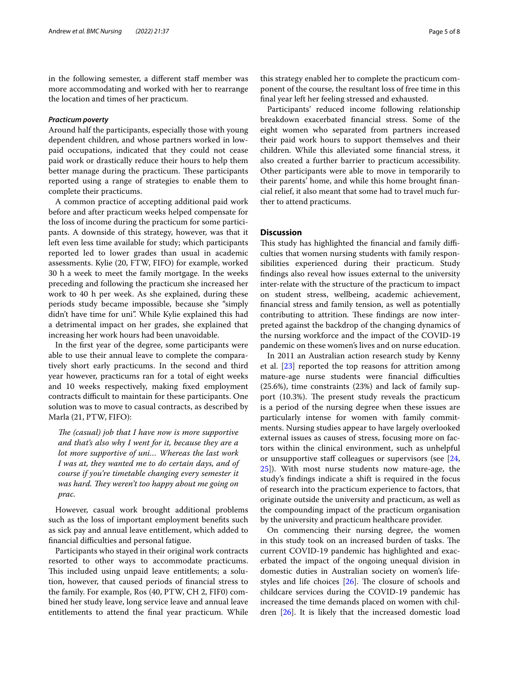in the following semester, a different staff member was more accommodating and worked with her to rearrange the location and times of her practicum.

#### *Practicum poverty*

Around half the participants, especially those with young dependent children, and whose partners worked in lowpaid occupations, indicated that they could not cease paid work or drastically reduce their hours to help them better manage during the practicum. These participants reported using a range of strategies to enable them to complete their practicums.

A common practice of accepting additional paid work before and after practicum weeks helped compensate for the loss of income during the practicum for some participants. A downside of this strategy, however, was that it left even less time available for study; which participants reported led to lower grades than usual in academic assessments. Kylie (20, FTW, FIFO) for example, worked 30 h a week to meet the family mortgage. In the weeks preceding and following the practicum she increased her work to 40 h per week. As she explained, during these periods study became impossible, because she "simply didn't have time for uni". While Kylie explained this had a detrimental impact on her grades, she explained that increasing her work hours had been unavoidable.

In the frst year of the degree, some participants were able to use their annual leave to complete the comparatively short early practicums. In the second and third year however, practicums ran for a total of eight weeks and 10 weeks respectively, making fxed employment contracts difficult to maintain for these participants. One solution was to move to casual contracts, as described by Marla (21, PTW, FIFO):

*The (casual) job that I have now is more supportive and that's also why I went for it, because they are a lot more supportive of uni… Whereas the last work I was at, they wanted me to do certain days, and of course if you're timetable changing every semester it was hard. They weren't too happy about me going on prac.*

However, casual work brought additional problems such as the loss of important employment benefts such as sick pay and annual leave entitlement, which added to financial difficulties and personal fatigue.

Participants who stayed in their original work contracts resorted to other ways to accommodate practicums. This included using unpaid leave entitlements; a solution, however, that caused periods of fnancial stress to the family. For example, Ros (40, PTW, CH 2, FIF0) combined her study leave, long service leave and annual leave entitlements to attend the fnal year practicum. While

this strategy enabled her to complete the practicum component of the course, the resultant loss of free time in this fnal year left her feeling stressed and exhausted.

Participants' reduced income following relationship breakdown exacerbated fnancial stress. Some of the eight women who separated from partners increased their paid work hours to support themselves and their children. While this alleviated some fnancial stress, it also created a further barrier to practicum accessibility. Other participants were able to move in temporarily to their parents' home, and while this home brought fnancial relief, it also meant that some had to travel much further to attend practicums.

## **Discussion**

This study has highlighted the financial and family difficulties that women nursing students with family responsibilities experienced during their practicum. Study fndings also reveal how issues external to the university inter-relate with the structure of the practicum to impact on student stress, wellbeing, academic achievement, fnancial stress and family tension, as well as potentially contributing to attrition. These findings are now interpreted against the backdrop of the changing dynamics of the nursing workforce and the impact of the COVID-19 pandemic on these women's lives and on nurse education.

In 2011 an Australian action research study by Kenny et al. [\[23](#page-8-22)] reported the top reasons for attrition among mature-age nurse students were financial difficulties (25.6%), time constraints (23%) and lack of family support  $(10.3%)$ . The present study reveals the practicum is a period of the nursing degree when these issues are particularly intense for women with family commitments. Nursing studies appear to have largely overlooked external issues as causes of stress, focusing more on factors within the clinical environment, such as unhelpful or unsupportive staff colleagues or supervisors (see  $[24,$  $[24,$  $[24,$ [25\]](#page-8-24)). With most nurse students now mature-age, the study's fndings indicate a shift is required in the focus of research into the practicum experience to factors, that originate outside the university and practicum, as well as the compounding impact of the practicum organisation by the university and practicum healthcare provider.

On commencing their nursing degree, the women in this study took on an increased burden of tasks. The current COVID-19 pandemic has highlighted and exacerbated the impact of the ongoing unequal division in domestic duties in Australian society on women's lifestyles and life choices  $[26]$  $[26]$ . The closure of schools and childcare services during the COVID-19 pandemic has increased the time demands placed on women with children [\[26\]](#page-8-25). It is likely that the increased domestic load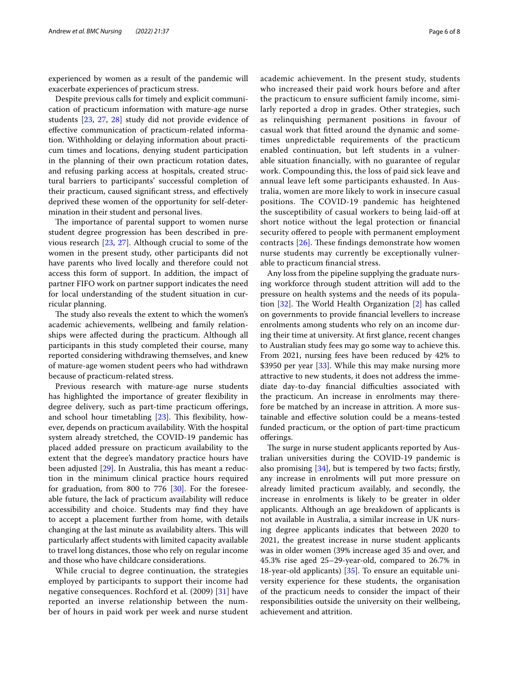experienced by women as a result of the pandemic will exacerbate experiences of practicum stress.

Despite previous calls for timely and explicit communication of practicum information with mature-age nurse students [\[23](#page-8-22), [27](#page-8-26), [28](#page-8-27)] study did not provide evidence of efective communication of practicum-related information. Withholding or delaying information about practicum times and locations, denying student participation in the planning of their own practicum rotation dates, and refusing parking access at hospitals, created structural barriers to participants' successful completion of their practicum, caused signifcant stress, and efectively deprived these women of the opportunity for self-determination in their student and personal lives.

The importance of parental support to women nurse student degree progression has been described in previous research [[23](#page-8-22), [27\]](#page-8-26). Although crucial to some of the women in the present study, other participants did not have parents who lived locally and therefore could not access this form of support. In addition, the impact of partner FIFO work on partner support indicates the need for local understanding of the student situation in curricular planning.

The study also reveals the extent to which the women's academic achievements, wellbeing and family relationships were afected during the practicum. Although all participants in this study completed their course, many reported considering withdrawing themselves, and knew of mature-age women student peers who had withdrawn because of practicum-related stress.

Previous research with mature-age nurse students has highlighted the importance of greater fexibility in degree delivery, such as part-time practicum oferings, and school hour timetabling  $[23]$  $[23]$ . This flexibility, however, depends on practicum availability. With the hospital system already stretched, the COVID-19 pandemic has placed added pressure on practicum availability to the extent that the degree's mandatory practice hours have been adjusted [\[29\]](#page-8-28). In Australia, this has meant a reduction in the minimum clinical practice hours required for graduation, from 800 to 776  $[30]$  $[30]$  $[30]$ . For the foreseeable future, the lack of practicum availability will reduce accessibility and choice. Students may fnd they have to accept a placement further from home, with details changing at the last minute as availability alters. This will particularly afect students with limited capacity available to travel long distances, those who rely on regular income and those who have childcare considerations.

While crucial to degree continuation, the strategies employed by participants to support their income had negative consequences. Rochford et al. (2009) [\[31](#page-8-30)] have reported an inverse relationship between the number of hours in paid work per week and nurse student academic achievement. In the present study, students who increased their paid work hours before and after the practicum to ensure sufficient family income, similarly reported a drop in grades. Other strategies, such as relinquishing permanent positions in favour of casual work that ftted around the dynamic and sometimes unpredictable requirements of the practicum enabled continuation, but left students in a vulnerable situation fnancially, with no guarantee of regular work. Compounding this, the loss of paid sick leave and annual leave left some participants exhausted. In Australia, women are more likely to work in insecure casual positions. The COVID-19 pandemic has heightened the susceptibility of casual workers to being laid-of at short notice without the legal protection or fnancial security offered to people with permanent employment contracts  $[26]$  $[26]$  $[26]$ . These findings demonstrate how women nurse students may currently be exceptionally vulnerable to practicum fnancial stress.

Any loss from the pipeline supplying the graduate nursing workforce through student attrition will add to the pressure on health systems and the needs of its population  $[32]$  $[32]$ . The World Health Organization  $[2]$  has called on governments to provide fnancial levellers to increase enrolments among students who rely on an income during their time at university. At frst glance, recent changes to Australian study fees may go some way to achieve this. From 2021, nursing fees have been reduced by 42% to \$3950 per year [[33\]](#page-8-32). While this may make nursing more attractive to new students, it does not address the immediate day-to-day financial difficulties associated with the practicum. An increase in enrolments may therefore be matched by an increase in attrition. A more sustainable and efective solution could be a means-tested funded practicum, or the option of part-time practicum oferings.

The surge in nurse student applicants reported by Australian universities during the COVID-19 pandemic is also promising [[34](#page-8-33)], but is tempered by two facts; frstly, any increase in enrolments will put more pressure on already limited practicum availably, and secondly, the increase in enrolments is likely to be greater in older applicants. Although an age breakdown of applicants is not available in Australia, a similar increase in UK nursing degree applicants indicates that between 2020 to 2021, the greatest increase in nurse student applicants was in older women (39% increase aged 35 and over, and 45.3% rise aged 25–29-year-old, compared to 26.7% in 18-year-old applicants) [[35\]](#page-8-34). To ensure an equitable university experience for these students, the organisation of the practicum needs to consider the impact of their responsibilities outside the university on their wellbeing, achievement and attrition.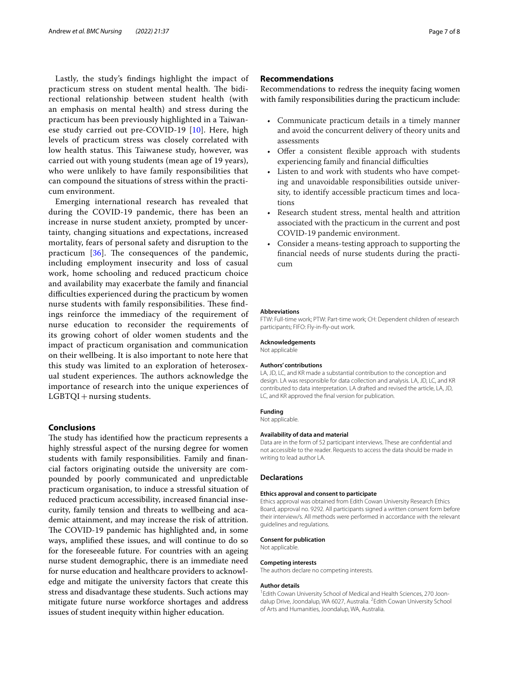Lastly, the study's fndings highlight the impact of practicum stress on student mental health. The bidirectional relationship between student health (with an emphasis on mental health) and stress during the practicum has been previously highlighted in a Taiwanese study carried out pre-COVID-19 [[10](#page-8-9)]. Here, high levels of practicum stress was closely correlated with low health status. This Taiwanese study, however, was carried out with young students (mean age of 19 years), who were unlikely to have family responsibilities that can compound the situations of stress within the practicum environment.

Emerging international research has revealed that during the COVID-19 pandemic, there has been an increase in nurse student anxiety, prompted by uncertainty, changing situations and expectations, increased mortality, fears of personal safety and disruption to the practicum  $[36]$  $[36]$ . The consequences of the pandemic, including employment insecurity and loss of casual work, home schooling and reduced practicum choice and availability may exacerbate the family and fnancial difficulties experienced during the practicum by women nurse students with family responsibilities. These findings reinforce the immediacy of the requirement of nurse education to reconsider the requirements of its growing cohort of older women students and the impact of practicum organisation and communication on their wellbeing. It is also important to note here that this study was limited to an exploration of heterosexual student experiences. The authors acknowledge the importance of research into the unique experiences of  $LGBTQI +$ nursing students.

#### **Conclusions**

The study has identified how the practicum represents a highly stressful aspect of the nursing degree for women students with family responsibilities. Family and fnancial factors originating outside the university are compounded by poorly communicated and unpredictable practicum organisation, to induce a stressful situation of reduced practicum accessibility, increased fnancial insecurity, family tension and threats to wellbeing and academic attainment, and may increase the risk of attrition. The COVID-19 pandemic has highlighted and, in some ways, amplifed these issues, and will continue to do so for the foreseeable future. For countries with an ageing nurse student demographic, there is an immediate need for nurse education and healthcare providers to acknowledge and mitigate the university factors that create this stress and disadvantage these students. Such actions may mitigate future nurse workforce shortages and address issues of student inequity within higher education.

#### **Recommendations**

Recommendations to redress the inequity facing women with family responsibilities during the practicum include:

- Communicate practicum details in a timely manner and avoid the concurrent delivery of theory units and assessments
- Offer a consistent flexible approach with students experiencing family and financial difficulties
- Listen to and work with students who have competing and unavoidable responsibilities outside university, to identify accessible practicum times and locations
- Research student stress, mental health and attrition associated with the practicum in the current and post COVID-19 pandemic environment.
- Consider a means-testing approach to supporting the fnancial needs of nurse students during the practicum

#### **Abbreviations**

FTW: Full-time work; PTW: Part-time work; CH: Dependent children of research participants; FIFO: Fly-in-fy-out work.

#### **Acknowledgements**

Not applicable

#### **Authors' contributions**

LA, JD, LC, and KR made a substantial contribution to the conception and design. LA was responsible for data collection and analysis. LA, JD, LC, and KR contributed to data interpretation. LA drafted and revised the article, LA, JD, LC, and KR approved the fnal version for publication.

#### **Funding**

Not applicable.

#### **Availability of data and material**

Data are in the form of 52 participant interviews. These are confdential and not accessible to the reader. Requests to access the data should be made in writing to lead author LA.

#### **Declarations**

#### **Ethics approval and consent to participate**

Ethics approval was obtained from Edith Cowan University Research Ethics Board, approval no. 9292. All participants signed a written consent form before their interview/s. All methods were performed in accordance with the relevant guidelines and regulations.

#### **Consent for publication**

Not applicable.

#### **Competing interests**

The authors declare no competing interests.

#### **Author details**

<sup>1</sup> Edith Cowan University School of Medical and Health Sciences, 270 Joondalup Drive, Joondalup, WA 6027, Australia. <sup>2</sup>Edith Cowan University School of Arts and Humanities, Joondalup, WA, Australia.